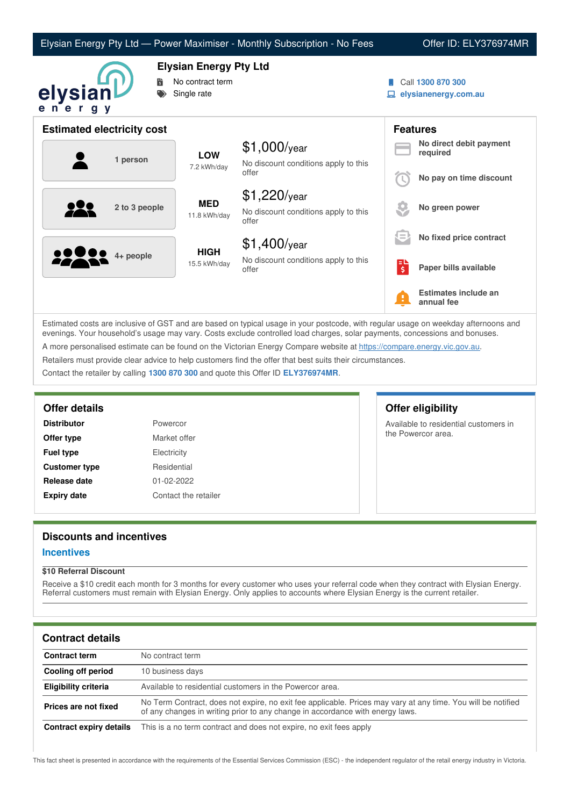| Elysian Energy Pty Ltd — Power Maximiser - Monthly Subscription - No Fees |  |  |  |  |
|---------------------------------------------------------------------------|--|--|--|--|
|---------------------------------------------------------------------------|--|--|--|--|

### Offer ID: ELY376974MR



**Elysian Energy Pty Ltd**

- **No contract term**
- Single rate
- Call **1300 870 300**
- **elysianenergy.com.au**

| <b>Estimated electricity cost</b> |               |                                               |                                                                 |                                     | <b>Features</b>                     |
|-----------------------------------|---------------|-----------------------------------------------|-----------------------------------------------------------------|-------------------------------------|-------------------------------------|
|                                   |               | <b>LOW</b>                                    | $$1,000$ /year                                                  |                                     | No direct debit payment<br>required |
| 1 person                          | 7.2 kWh/day   | No discount conditions apply to this<br>offer |                                                                 | No pay on time discount             |                                     |
|                                   | 2 to 3 people | <b>MED</b><br>11.8 kWh/day                    | $$1,220$ /year<br>No discount conditions apply to this<br>offer |                                     | No green power                      |
|                                   |               |                                               | $$1,400$ /year                                                  | lΞ                                  | No fixed price contract             |
|                                   | 4+ people     | <b>HIGH</b><br>15.5 kWh/day                   | No discount conditions apply to this<br>offer                   | Еυ<br>$\overline{\boldsymbol{\xi}}$ | Paper bills available               |
|                                   |               |                                               |                                                                 | Ŧ                                   | Estimates include an<br>annual fee  |

Estimated costs are inclusive of GST and are based on typical usage in your postcode, with regular usage on weekday afternoons and evenings. Your household's usage may vary. Costs exclude controlled load charges, solar payments, concessions and bonuses. A more personalised estimate can be found on the Victorian Energy Compare website at <https://compare.energy.vic.gov.au>. Retailers must provide clear advice to help customers find the offer that best suits their circumstances.

Contact the retailer by calling **1300 870 300** and quote this Offer ID **ELY376974MR**.

| <b>Distributor</b>   | Powercor     |
|----------------------|--------------|
| Offer type           | Market offer |
| <b>Fuel type</b>     | Electricity  |
| <b>Customer type</b> | Residential  |
| Release date         | 01-02-2022   |
| <b>Expiry date</b>   | Contact the  |

# **t** offer **ential ct the retailer**

# **Offer details Offer eligibility**

Available to residential customers in the Powercor area.

# **Discounts and incentives**

### **Incentives**

#### **\$10 Referral Discount**

Receive a \$10 credit each month for 3 months for every customer who uses your referral code when they contract with Elysian Energy. Referral customers must remain with Elysian Energy. Only applies to accounts where Elysian Energy is the current retailer.

# **Contract details**

| <b>Contract term</b>    | No contract term                                                                                                                                                                              |
|-------------------------|-----------------------------------------------------------------------------------------------------------------------------------------------------------------------------------------------|
| Cooling off period      | 10 business days                                                                                                                                                                              |
| Eligibility criteria    | Available to residential customers in the Powercor area.                                                                                                                                      |
| Prices are not fixed    | No Term Contract, does not expire, no exit fee applicable. Prices may vary at any time. You will be notified<br>of any changes in writing prior to any change in accordance with energy laws. |
| Contract expiry details | This is a no term contract and does not expire, no exit fees apply                                                                                                                            |

This fact sheet is presented in accordance with the requirements of the Essential Services Commission (ESC) - the independent regulator of the retail energy industry in Victoria.